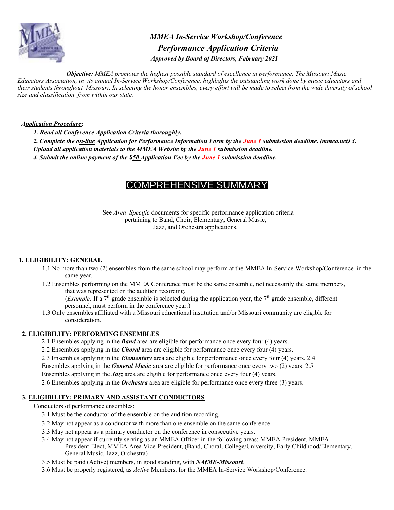

*MMEA In-Service Workshop/Conference Performance Application Criteria Approved by Board of Directors, February 2021* 

*Objective: MMEA promotes the highest possible standard of excellence in performance. The Missouri Music Educators Association, in its annual In-Service Workshop/Conference, highlights the outstanding work done by music educators and their students throughout Missouri. In selecting the honor ensembles, every effort will be made to select from the wide diversity of school size and classification from within our state.* 

#### *Application Procedure:*

*1. Read all Conference Application Criteria thoroughly.* 

- *2. Complete the on-line Application for Performance Information Form by the June 1 submission deadline. (mmea.net) 3.*
- *Upload all application materials to the MMEA Website by the June 1 submission deadline.*

*4. Submit the online payment of the \$50 Application Fee by the June 1 submission deadline.* 

# COMPREHENSIVE SUMMARY

See *Area–Specific* documents for specific performance application criteria pertaining to Band, Choir, Elementary, General Music, Jazz, and Orchestra applications.

# **1. ELIGIBILITY: GENERAL**

- 1.1 No more than two (2) ensembles from the same school may perform at the MMEA In-Service Workshop/Conference in the same year.
- 1.2 Ensembles performing on the MMEA Conference must be the same ensemble, not necessarily the same members, that was represented on the audition recording.

(*Example:* If a 7th grade ensemble is selected during the application year, the 7th grade ensemble, different personnel, must perform in the conference year.)

1.3 Only ensembles affiliated with a Missouri educational institution and/or Missouri community are eligible for consideration.

#### **2. ELIGIBILITY: PERFORMING ENSEMBLES**

- 2.1 Ensembles applying in the *Band* area are eligible for performance once every four (4) years.
- 2.2 Ensembles applying in the *Choral* area are eligible for performance once every four (4) years.
- 2.3 Ensembles applying in the *Elementary* area are eligible for performance once every four (4) years. 2.4
- Ensembles applying in the *General Music* area are eligible for performance once every two (2) years. 2.5

Ensembles applying in the *Jazz* area are eligible for performance once every four (4) years.

2.6 Ensembles applying in the *Orchestra* area are eligible for performance once every three (3) years.

#### **3. ELIGIBILITY: PRIMARY AND ASSISTANT CONDUCTORS**

Conductors of performance ensembles:

- 3.1 Must be the conductor of the ensemble on the audition recording.
- 3.2 May not appear as a conductor with more than one ensemble on the same conference.
- 3.3 May not appear as a primary conductor on the conference in consecutive years.
- 3.4 May not appear if currently serving as an MMEA Officer in the following areas: MMEA President, MMEA
	- President-Elect, MMEA Area Vice-President, (Band, Choral, College/University, Early Childhood/Elementary, General Music, Jazz, Orchestra)
- 3.5 Must be paid (Active) members, in good standing, with *NAfME-Missouri*.
- 3.6 Must be properly registered, as *Active* Members, for the MMEA In-Service Workshop/Conference.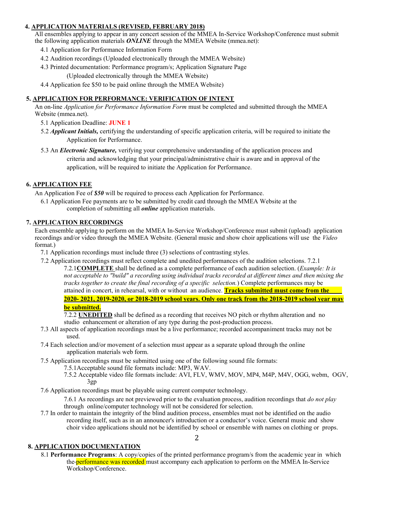## **4. APPLICATION MATERIALS (REVISED, FEBRUARY 2018)**

All ensembles applying to appear in any concert session of the MMEA In-Service Workshop/Conference must submit the following application materials *ONLINE* through the MMEA Website (mmea.net):

- 4.1 Application for Performance Information Form
- 4.2 Audition recordings (Uploaded electronically through the MMEA Website)
- 4.3 Printed documentation: Performance program/s; Application Signature Page

(Uploaded electronically through the MMEA Website)

4.4 Application fee \$50 to be paid online through the MMEA Website)

## **5. APPLICATION FOR PERFORMANCE: VERIFICATION OF INTENT**

An on-line *Application for Performance Information Form* must be completed and submitted through the MMEA Website (mmea.net).

- 5.1 Application Deadline: **JUNE 1**
- 5.2 *Applicant Initials,* certifying the understanding of specific application criteria, will be required to initiate the Application for Performance.
- 5.3 An *Electronic Signature,* verifying your comprehensive understanding of the application process and criteria and acknowledging that your principal/administrative chair is aware and in approval of the application, will be required to initiate the Application for Performance.

## **6. APPLICATION FEE**

An Application Fee of *\$50* will be required to process each Application for Performance.

6.1 Application Fee payments are to be submitted by credit card through the MMEA Website at the completion of submitting all *online* application materials.

## **7. APPLICATION RECORDINGS**

Each ensemble applying to perform on the MMEA In-Service Workshop/Conference must submit (upload) application recordings and/or video through the MMEA Website. (General music and show choir applications will use the *Video*  format.)

7.1 Application recordings must include three (3) selections of contrasting styles.

7.2 Application recordings must reflect complete and unedited performances of the audition selections. 7.2.1

7.2.1**COMPLETE** shall be defined as a complete performance of each audition selection. (*Example: It is not acceptable to "build" a recording using individual tracks recorded at different times and then mixing the tracks together to create the final recording of a specific selection.*) Complete performances may be attained in concert, in rehearsal, with or without an audience. **Tracks submitted must come from the 2020- 2021, 2019-2020, or 2018-2019 school years. Only one track from the 2018-2019 school year may be submitted.**

7.2.2 **UNEDITED** shall be defined as a recording that receives NO pitch or rhythm alteration and no studio enhancement or alteration of any type during the post-production process.

- 7.3 All aspects of application recordings must be a live performance; recorded accompaniment tracks may not be used.
- 7.4 Each selection and/or movement of a selection must appear as a separate upload through the online application materials web form.
- 7.5 Application recordings must be submitted using one of the following sound file formats:
	- 7.5.1Acceptable sound file formats include: MP3, WAV.
		- 7.5.2 Acceptable video file formats include: AVI, FLV, WMV, MOV, MP4, M4P, M4V, OGG, webm, OGV, 3gp
- 7.6 Application recordings must be playable using current computer technology.

7.6.1 As recordings are not previewed prior to the evaluation process, audition recordings that *do not play*  through online/computer technology will not be considered for selection.

2

7.7 In order to maintain the integrity of the blind audition process, ensembles must not be identified on the audio recording itself, such as in an announcer's introduction or a conductor's voice. General music and show choir video applications should not be identified by school or ensemble with names on clothing or props.

#### **8. APPLICATION DOCUMENTATION**

8.1 **Performance Programs**: A copy/copies of the printed performance program/s from the academic year in which the **performance was recorded** must accompany each application to perform on the MMEA In-Service Workshop/Conference.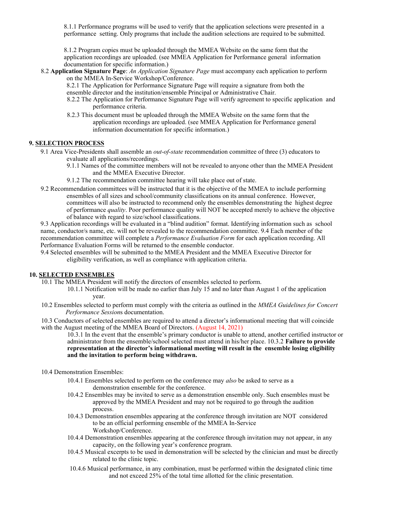8.1.1 Performance programs will be used to verify that the application selections were presented in a performance setting. Only programs that include the audition selections are required to be submitted.

8.1.2 Program copies must be uploaded through the MMEA Website on the same form that the application recordings are uploaded. (see MMEA Application for Performance general information documentation for specific information.)

- 8.2 **Application Signature Page**: *An Application Signature Page* must accompany each application to perform on the MMEA In-Service Workshop/Conference.
	- 8.2.1 The Application for Performance Signature Page will require a signature from both the ensemble director and the institution/ensemble Principal or Administrative Chair.
	- 8.2.2 The Application for Performance Signature Page will verify agreement to specific application and performance criteria.
	- 8.2.3 This document must be uploaded through the MMEA Website on the same form that the application recordings are uploaded. (see MMEA Application for Performance general information documentation for specific information.)

#### **9. SELECTION PROCESS**

- 9.1 Area Vice-Presidents shall assemble an *out-of-state* recommendation committee of three (3) educators to evaluate all applications/recordings.
	- 9.1.1 Names of the committee members will not be revealed to anyone other than the MMEA President and the MMEA Executive Director.
	- 9.1.2 The recommendation committee hearing will take place out of state.
- 9.2 Recommendation committees will be instructed that it is the objective of the MMEA to include performing ensembles of all sizes and school/community classifications on its annual conference. However, committees will also be instructed to recommend only the ensembles demonstrating the highest degree of performance *quality*. Poor performance quality will NOT be accepted merely to achieve the objective of balance with regard to size/school classifications.

9.3 Application recordings will be evaluated in a "blind audition" format. Identifying information such as school name, conductor/s name, etc. will not be revealed to the recommendation committee. 9.4 Each member of the recommendation committee will complete a *Performance Evaluation Form* for each application recording. All Performance Evaluation Forms will be returned to the ensemble conductor.

9.4 Selected ensembles will be submitted to the MMEA President and the MMEA Executive Director for eligibility verification, as well as compliance with application criteria.

#### **10. SELECTED ENSEMBLES**

10.1 The MMEA President will notify the directors of ensembles selected to perform.

- 10.1.1 Notification will be made no earlier than July 15 and no later than August 1 of the application year.
- 10.2 Ensembles selected to perform must comply with the criteria as outlined in the *MMEA Guidelines for Concert Performance Session*s documentation.

10.3 Conductors of selected ensembles are required to attend a director's informational meeting that will coincide with the August meeting of the MMEA Board of Directors. (August 14, 2021)

10.3.1 In the event that the ensemble's primary conductor is unable to attend, another certified instructor or administrator from the ensemble/school selected must attend in his/her place. 10.3.2 **Failure to provide representation at the director's informational meeting will result in the ensemble losing eligibility and the invitation to perform being withdrawn.**

- 10.4 Demonstration Ensembles:
	- 10.4.1 Ensembles selected to perform on the conference may *also* be asked to serve as a demonstration ensemble for the conference.
	- 10.4.2 Ensembles may be invited to serve as a demonstration ensemble only. Such ensembles must be approved by the MMEA President and may not be required to go through the audition process.
	- 10.4.3 Demonstration ensembles appearing at the conference through invitation are NOT considered to be an official performing ensemble of the MMEA In-Service Workshop/Conference.
	- 10.4.4 Demonstration ensembles appearing at the conference through invitation may not appear, in any capacity, on the following year's conference program.
	- 10.4.5 Musical excerpts to be used in demonstration will be selected by the clinician and must be directly related to the clinic topic.
	- 10.4.6 Musical performance, in any combination, must be performed within the designated clinic time and not exceed 25% of the total time allotted for the clinic presentation.